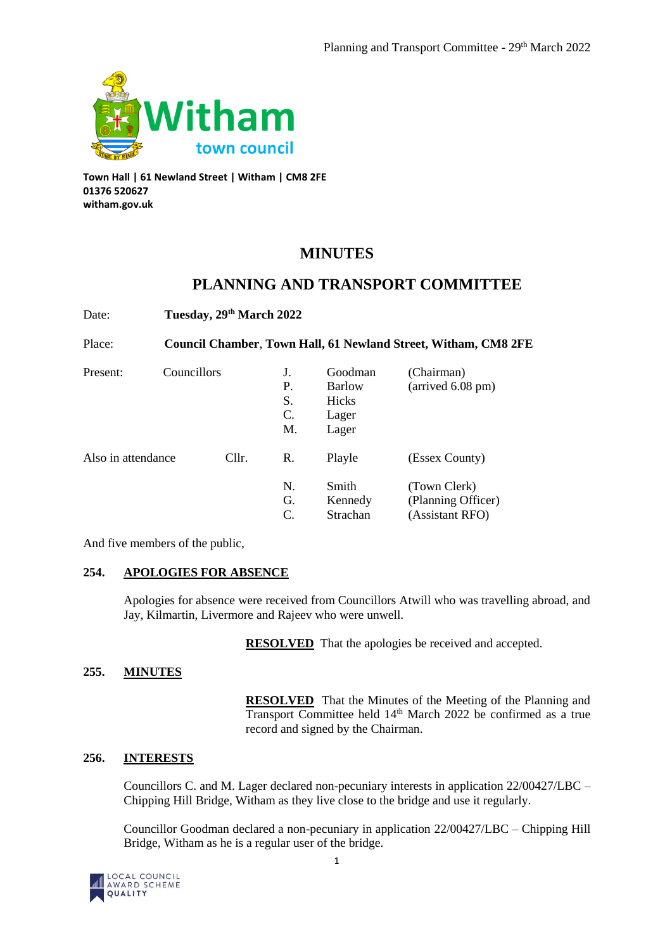

**Town Hall | 61 Newland Street | Witham | CM8 2FE 01376 520627 witham.gov.uk**

# **MINUTES**

# **PLANNING AND TRANSPORT COMMITTEE**

Date: **Tuesday, 29th March 2022**

Place: **Council Chamber**, **Town Hall, 61 Newland Street, Witham, CM8 2FE**

| Present:           | Councillors |       | J.<br>Р.<br>S.<br>C.<br>M. | Goodman<br><b>Barlow</b><br>Hicks<br>Lager<br>Lager | (Chairman)<br>$\text{(arrived } 6.08 \text{ pm)}$     |
|--------------------|-------------|-------|----------------------------|-----------------------------------------------------|-------------------------------------------------------|
| Also in attendance |             | Cllr. | R.                         | Playle                                              | (Essex County)                                        |
|                    |             |       | N.<br>G.<br>C.             | Smith<br>Kennedy<br>Strachan                        | (Town Clerk)<br>(Planning Officer)<br>(Assistant RFO) |

And five members of the public,

# **254. APOLOGIES FOR ABSENCE**

Apologies for absence were received from Councillors Atwill who was travelling abroad, and Jay, Kilmartin, Livermore and Rajeev who were unwell.

**RESOLVED** That the apologies be received and accepted.

# **255. MINUTES**

**RESOLVED** That the Minutes of the Meeting of the Planning and Transport Committee held 14<sup>th</sup> March 2022 be confirmed as a true record and signed by the Chairman.

# **256. INTERESTS**

Councillors C. and M. Lager declared non-pecuniary interests in application 22/00427/LBC – Chipping Hill Bridge, Witham as they live close to the bridge and use it regularly.

Councillor Goodman declared a non-pecuniary in application 22/00427/LBC – Chipping Hill Bridge, Witham as he is a regular user of the bridge.

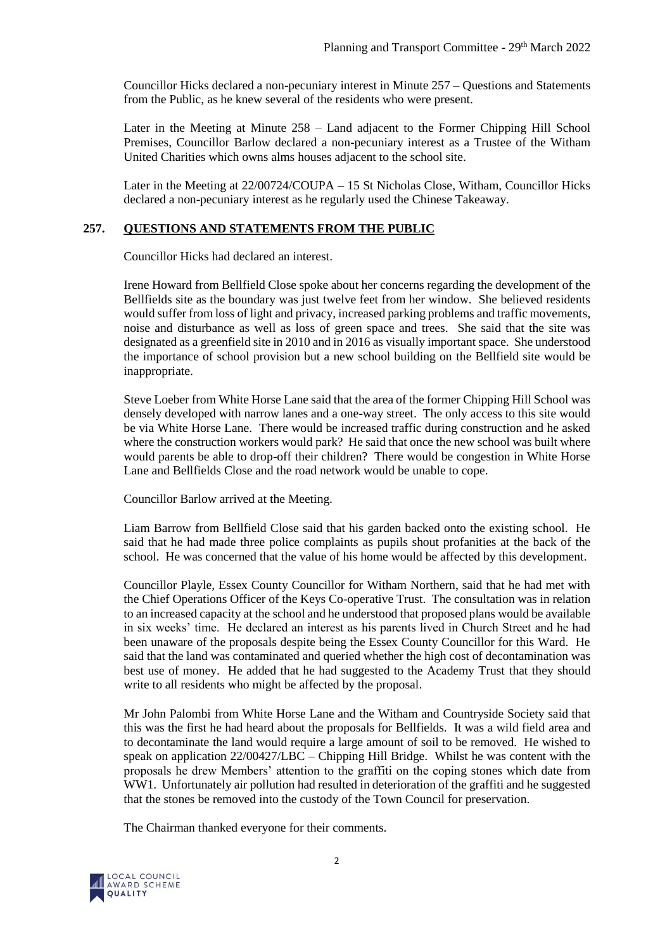Councillor Hicks declared a non-pecuniary interest in Minute 257 – Questions and Statements from the Public, as he knew several of the residents who were present.

Later in the Meeting at Minute 258 – Land adjacent to the Former Chipping Hill School Premises, Councillor Barlow declared a non-pecuniary interest as a Trustee of the Witham United Charities which owns alms houses adjacent to the school site.

Later in the Meeting at 22/00724/COUPA – 15 St Nicholas Close, Witham, Councillor Hicks declared a non-pecuniary interest as he regularly used the Chinese Takeaway.

## **257. QUESTIONS AND STATEMENTS FROM THE PUBLIC**

Councillor Hicks had declared an interest.

Irene Howard from Bellfield Close spoke about her concerns regarding the development of the Bellfields site as the boundary was just twelve feet from her window. She believed residents would suffer from loss of light and privacy, increased parking problems and traffic movements, noise and disturbance as well as loss of green space and trees. She said that the site was designated as a greenfield site in 2010 and in 2016 as visually important space. She understood the importance of school provision but a new school building on the Bellfield site would be inappropriate.

Steve Loeber from White Horse Lane said that the area of the former Chipping Hill School was densely developed with narrow lanes and a one-way street. The only access to this site would be via White Horse Lane. There would be increased traffic during construction and he asked where the construction workers would park? He said that once the new school was built where would parents be able to drop-off their children? There would be congestion in White Horse Lane and Bellfields Close and the road network would be unable to cope.

Councillor Barlow arrived at the Meeting.

Liam Barrow from Bellfield Close said that his garden backed onto the existing school. He said that he had made three police complaints as pupils shout profanities at the back of the school. He was concerned that the value of his home would be affected by this development.

Councillor Playle, Essex County Councillor for Witham Northern, said that he had met with the Chief Operations Officer of the Keys Co-operative Trust. The consultation was in relation to an increased capacity at the school and he understood that proposed plans would be available in six weeks' time. He declared an interest as his parents lived in Church Street and he had been unaware of the proposals despite being the Essex County Councillor for this Ward. He said that the land was contaminated and queried whether the high cost of decontamination was best use of money. He added that he had suggested to the Academy Trust that they should write to all residents who might be affected by the proposal.

Mr John Palombi from White Horse Lane and the Witham and Countryside Society said that this was the first he had heard about the proposals for Bellfields. It was a wild field area and to decontaminate the land would require a large amount of soil to be removed. He wished to speak on application 22/00427/LBC – Chipping Hill Bridge. Whilst he was content with the proposals he drew Members' attention to the graffiti on the coping stones which date from WW1. Unfortunately air pollution had resulted in deterioration of the graffiti and he suggested that the stones be removed into the custody of the Town Council for preservation.

The Chairman thanked everyone for their comments.

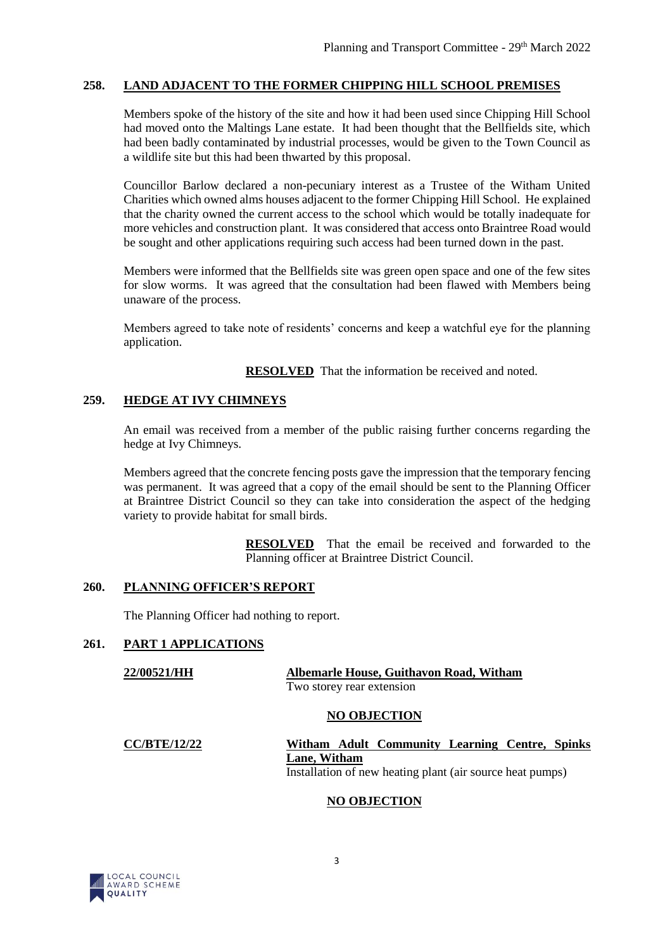## **258. LAND ADJACENT TO THE FORMER CHIPPING HILL SCHOOL PREMISES**

Members spoke of the history of the site and how it had been used since Chipping Hill School had moved onto the Maltings Lane estate. It had been thought that the Bellfields site, which had been badly contaminated by industrial processes, would be given to the Town Council as a wildlife site but this had been thwarted by this proposal.

Councillor Barlow declared a non-pecuniary interest as a Trustee of the Witham United Charities which owned alms houses adjacent to the former Chipping Hill School. He explained that the charity owned the current access to the school which would be totally inadequate for more vehicles and construction plant. It was considered that access onto Braintree Road would be sought and other applications requiring such access had been turned down in the past.

Members were informed that the Bellfields site was green open space and one of the few sites for slow worms. It was agreed that the consultation had been flawed with Members being unaware of the process.

Members agreed to take note of residents' concerns and keep a watchful eye for the planning application.

**RESOLVED** That the information be received and noted.

# **259. HEDGE AT IVY CHIMNEYS**

An email was received from a member of the public raising further concerns regarding the hedge at Ivy Chimneys.

Members agreed that the concrete fencing posts gave the impression that the temporary fencing was permanent. It was agreed that a copy of the email should be sent to the Planning Officer at Braintree District Council so they can take into consideration the aspect of the hedging variety to provide habitat for small birds.

> **RESOLVED** That the email be received and forwarded to the Planning officer at Braintree District Council.

### **260. PLANNING OFFICER'S REPORT**

The Planning Officer had nothing to report.

### **261. PART 1 APPLICATIONS**

| 22/00521/HH | Albemarle House, Guithavon Road, Witham |  |  |  |  |
|-------------|-----------------------------------------|--|--|--|--|
|             | Two storey rear extension               |  |  |  |  |
|             |                                         |  |  |  |  |

### **NO OBJECTION**

| <b>CC/BTE/12/22</b> | Witham Adult Community Learning Centre, Spinks            |  |  |  |  |  |
|---------------------|-----------------------------------------------------------|--|--|--|--|--|
|                     | Lane. Witham                                              |  |  |  |  |  |
|                     | Installation of new heating plant (air source heat pumps) |  |  |  |  |  |

# **NO OBJECTION**

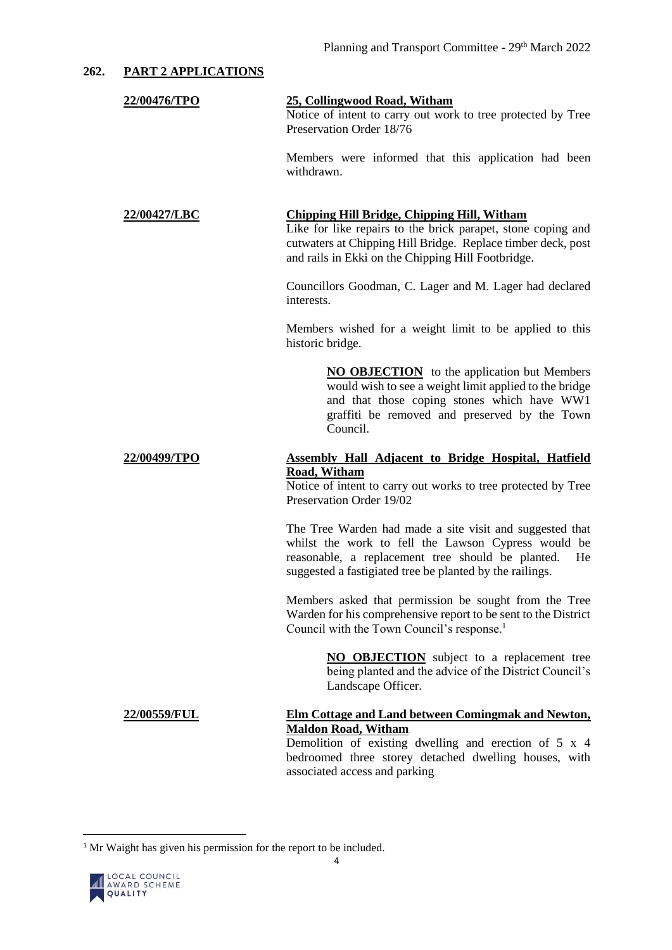## **262. PART 2 APPLICATIONS**

# **22/00476/TPO 25, Collingwood Road, Witham** Notice of intent to carry out work to tree protected by Tree Preservation Order 18/76

Members were informed that this application had been withdrawn.

# **22/00427/LBC Chipping Hill Bridge, Chipping Hill, Witham**

Like for like repairs to the brick parapet, stone coping and cutwaters at Chipping Hill Bridge. Replace timber deck, post and rails in Ekki on the Chipping Hill Footbridge.

Councillors Goodman, C. Lager and M. Lager had declared interests.

Members wished for a weight limit to be applied to this historic bridge.

> **NO OBJECTION** to the application but Members would wish to see a weight limit applied to the bridge and that those coping stones which have WW1 graffiti be removed and preserved by the Town Council.

#### **22/00499/TPO Assembly Hall Adjacent to Bridge Hospital, Hatfield Road, Witham**

Notice of intent to carry out works to tree protected by Tree Preservation Order 19/02

The Tree Warden had made a site visit and suggested that whilst the work to fell the Lawson Cypress would be reasonable, a replacement tree should be planted. He suggested a fastigiated tree be planted by the railings.

Members asked that permission be sought from the Tree Warden for his comprehensive report to be sent to the District Council with the Town Council's response.<sup>1</sup>

> **NO OBJECTION** subject to a replacement tree being planted and the advice of the District Council's Landscape Officer.

### **22/00559/FUL Elm Cottage and Land between Comingmak and Newton, Maldon Road, Witham**

Demolition of existing dwelling and erection of 5 x 4 bedroomed three storey detached dwelling houses, with associated access and parking

<sup>&</sup>lt;sup>1</sup> Mr Waight has given his permission for the report to be included.



 $\overline{a}$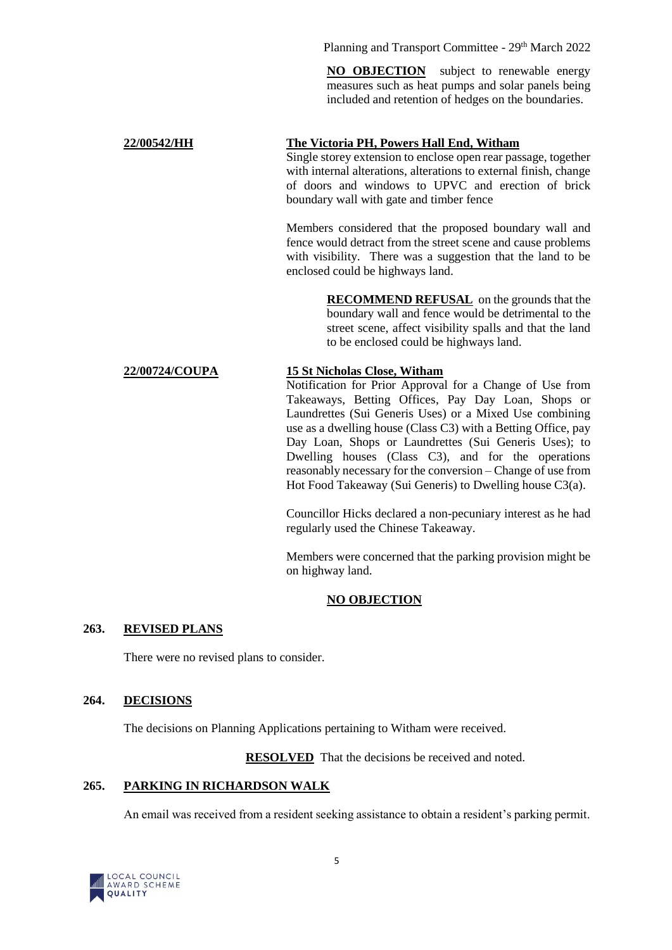Planning and Transport Committee - 29<sup>th</sup> March 2022

**NO OBJECTION** subject to renewable energy measures such as heat pumps and solar panels being included and retention of hedges on the boundaries.

# **22/00542/HH The Victoria PH, Powers Hall End, Witham**

Single storey extension to enclose open rear passage, together with internal alterations, alterations to external finish, change of doors and windows to UPVC and erection of brick boundary wall with gate and timber fence

Members considered that the proposed boundary wall and fence would detract from the street scene and cause problems with visibility. There was a suggestion that the land to be enclosed could be highways land.

> **RECOMMEND REFUSAL** on the grounds that the boundary wall and fence would be detrimental to the street scene, affect visibility spalls and that the land to be enclosed could be highways land.

# **22/00724/COUPA 15 St Nicholas Close, Witham**

Notification for Prior Approval for a Change of Use from Takeaways, Betting Offices, Pay Day Loan, Shops or Laundrettes (Sui Generis Uses) or a Mixed Use combining use as a dwelling house (Class C3) with a Betting Office, pay Day Loan, Shops or Laundrettes (Sui Generis Uses); to Dwelling houses (Class C3), and for the operations reasonably necessary for the conversion – Change of use from Hot Food Takeaway (Sui Generis) to Dwelling house C3(a).

Councillor Hicks declared a non-pecuniary interest as he had regularly used the Chinese Takeaway.

Members were concerned that the parking provision might be on highway land.

# **NO OBJECTION**

# **263. REVISED PLANS**

There were no revised plans to consider.

# **264. DECISIONS**

The decisions on Planning Applications pertaining to Witham were received.

**RESOLVED** That the decisions be received and noted.

# **265. PARKING IN RICHARDSON WALK**

An email was received from a resident seeking assistance to obtain a resident's parking permit.